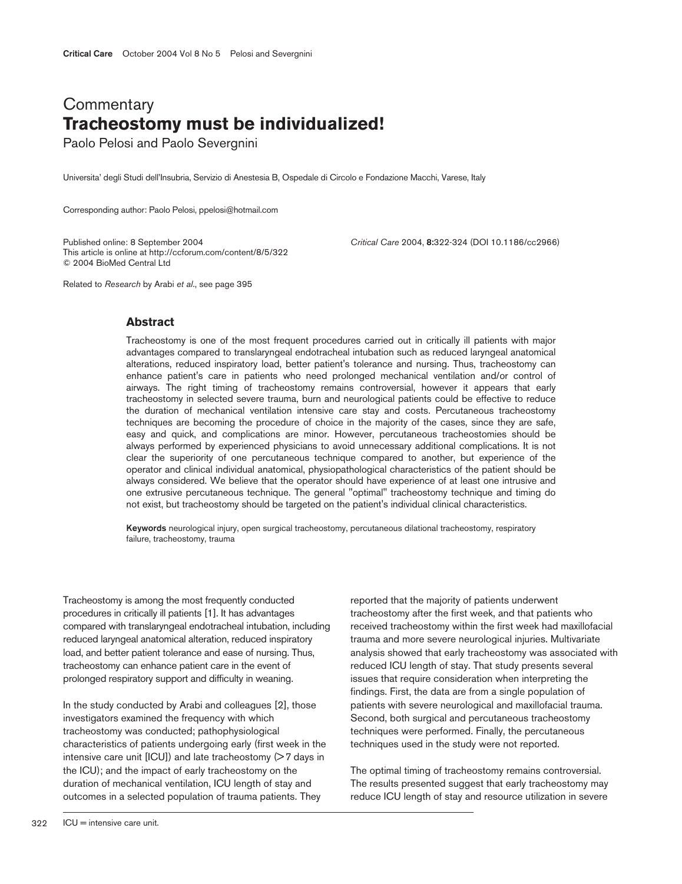## **Commentary Tracheostomy must be individualized!**

Paolo Pelosi and Paolo Severgnini

Universita' degli Studi dell'Insubria, Servizio di Anestesia B, Ospedale di Circolo e Fondazione Macchi, Varese, Italy

Corresponding author: Paolo Pelosi, ppelosi@hotmail.com

Published online: 8 September 2004 *Critical Care* 2004, **8:**322-324 (DOI 10.1186/cc2966) This article is online at http://ccforum.com/content/8/5/322 © 2004 BioMed Central Ltd

Related to *Research* by Arabi *et al*., see page 395

## **Abstract**

Tracheostomy is one of the most frequent procedures carried out in critically ill patients with major advantages compared to translaryngeal endotracheal intubation such as reduced laryngeal anatomical alterations, reduced inspiratory load, better patient's tolerance and nursing. Thus, tracheostomy can enhance patient's care in patients who need prolonged mechanical ventilation and/or control of airways. The right timing of tracheostomy remains controversial, however it appears that early tracheostomy in selected severe trauma, burn and neurological patients could be effective to reduce the duration of mechanical ventilation intensive care stay and costs. Percutaneous tracheostomy techniques are becoming the procedure of choice in the majority of the cases, since they are safe, easy and quick, and complications are minor. However, percutaneous tracheostomies should be always performed by experienced physicians to avoid unnecessary additional complications. It is not clear the superiority of one percutaneous technique compared to another, but experience of the operator and clinical individual anatomical, physiopathological characteristics of the patient should be always considered. We believe that the operator should have experience of at least one intrusive and one extrusive percutaneous technique. The general "optimal" tracheostomy technique and timing do not exist, but tracheostomy should be targeted on the patient's individual clinical characteristics.

**Keywords** neurological injury, open surgical tracheostomy, percutaneous dilational tracheostomy, respiratory failure, tracheostomy, trauma

Tracheostomy is among the most frequently conducted procedures in critically ill patients [1]. It has advantages compared with translaryngeal endotracheal intubation, including reduced laryngeal anatomical alteration, reduced inspiratory load, and better patient tolerance and ease of nursing. Thus, tracheostomy can enhance patient care in the event of prolonged respiratory support and difficulty in weaning.

In the study conducted by Arabi and colleagues [2], those investigators examined the frequency with which tracheostomy was conducted; pathophysiological characteristics of patients undergoing early (first week in the intensive care unit  $[ICU]$ ) and late tracheostomy  $(> 7$  days in the ICU); and the impact of early tracheostomy on the duration of mechanical ventilation, ICU length of stay and outcomes in a selected population of trauma patients. They

reported that the majority of patients underwent tracheostomy after the first week, and that patients who received tracheostomy within the first week had maxillofacial trauma and more severe neurological injuries. Multivariate analysis showed that early tracheostomy was associated with reduced ICU length of stay. That study presents several issues that require consideration when interpreting the findings. First, the data are from a single population of patients with severe neurological and maxillofacial trauma. Second, both surgical and percutaneous tracheostomy techniques were performed. Finally, the percutaneous techniques used in the study were not reported.

The optimal timing of tracheostomy remains controversial. The results presented suggest that early tracheostomy may reduce ICU length of stay and resource utilization in severe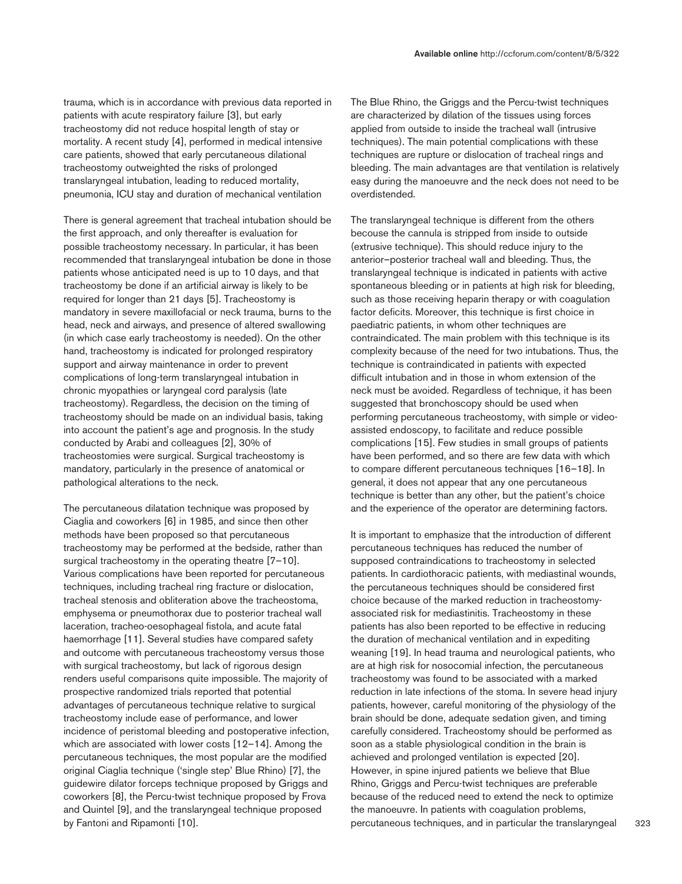trauma, which is in accordance with previous data reported in patients with acute respiratory failure [3], but early tracheostomy did not reduce hospital length of stay or mortality. A recent study [4], performed in medical intensive care patients, showed that early percutaneous dilational tracheostomy outweighted the risks of prolonged translaryngeal intubation, leading to reduced mortality, pneumonia, ICU stay and duration of mechanical ventilation

There is general agreement that tracheal intubation should be the first approach, and only thereafter is evaluation for possible tracheostomy necessary. In particular, it has been recommended that translaryngeal intubation be done in those patients whose anticipated need is up to 10 days, and that tracheostomy be done if an artificial airway is likely to be required for longer than 21 days [5]. Tracheostomy is mandatory in severe maxillofacial or neck trauma, burns to the head, neck and airways, and presence of altered swallowing (in which case early tracheostomy is needed). On the other hand, tracheostomy is indicated for prolonged respiratory support and airway maintenance in order to prevent complications of long-term translaryngeal intubation in chronic myopathies or laryngeal cord paralysis (late tracheostomy). Regardless, the decision on the timing of tracheostomy should be made on an individual basis, taking into account the patient's age and prognosis. In the study conducted by Arabi and colleagues [2], 30% of tracheostomies were surgical. Surgical tracheostomy is mandatory, particularly in the presence of anatomical or pathological alterations to the neck.

The percutaneous dilatation technique was proposed by Ciaglia and coworkers [6] in 1985, and since then other methods have been proposed so that percutaneous tracheostomy may be performed at the bedside, rather than surgical tracheostomy in the operating theatre [7-10]. Various complications have been reported for percutaneous techniques, including tracheal ring fracture or dislocation, tracheal stenosis and obliteration above the tracheostoma, emphysema or pneumothorax due to posterior tracheal wall laceration, tracheo-oesophageal fistola, and acute fatal haemorrhage [11]. Several studies have compared safety and outcome with percutaneous tracheostomy versus those with surgical tracheostomy, but lack of rigorous design renders useful comparisons quite impossible. The majority of prospective randomized trials reported that potential advantages of percutaneous technique relative to surgical tracheostomy include ease of performance, and lower incidence of peristomal bleeding and postoperative infection, which are associated with lower costs [12–14]. Among the percutaneous techniques, the most popular are the modified original Ciaglia technique ('single step' Blue Rhino) [7], the guidewire dilator forceps technique proposed by Griggs and coworkers [8], the Percu-twist technique proposed by Frova and Quintel [9], and the translaryngeal technique proposed by Fantoni and Ripamonti [10].

The Blue Rhino, the Griggs and the Percu-twist techniques are characterized by dilation of the tissues using forces applied from outside to inside the tracheal wall (intrusive techniques). The main potential complications with these techniques are rupture or dislocation of tracheal rings and bleeding. The main advantages are that ventilation is relatively easy during the manoeuvre and the neck does not need to be overdistended.

The translaryngeal technique is different from the others becouse the cannula is stripped from inside to outside (extrusive technique). This should reduce injury to the anterior–posterior tracheal wall and bleeding. Thus, the translaryngeal technique is indicated in patients with active spontaneous bleeding or in patients at high risk for bleeding, such as those receiving heparin therapy or with coagulation factor deficits. Moreover, this technique is first choice in paediatric patients, in whom other techniques are contraindicated. The main problem with this technique is its complexity because of the need for two intubations. Thus, the technique is contraindicated in patients with expected difficult intubation and in those in whom extension of the neck must be avoided. Regardless of technique, it has been suggested that bronchoscopy should be used when performing percutaneous tracheostomy, with simple or videoassisted endoscopy, to facilitate and reduce possible complications [15]. Few studies in small groups of patients have been performed, and so there are few data with which to compare different percutaneous techniques [16–18]. In general, it does not appear that any one percutaneous technique is better than any other, but the patient's choice and the experience of the operator are determining factors.

It is important to emphasize that the introduction of different percutaneous techniques has reduced the number of supposed contraindications to tracheostomy in selected patients. In cardiothoracic patients, with mediastinal wounds, the percutaneous techniques should be considered first choice because of the marked reduction in tracheostomyassociated risk for mediastinitis. Tracheostomy in these patients has also been reported to be effective in reducing the duration of mechanical ventilation and in expediting weaning [19]. In head trauma and neurological patients, who are at high risk for nosocomial infection, the percutaneous tracheostomy was found to be associated with a marked reduction in late infections of the stoma. In severe head injury patients, however, careful monitoring of the physiology of the brain should be done, adequate sedation given, and timing carefully considered. Tracheostomy should be performed as soon as a stable physiological condition in the brain is achieved and prolonged ventilation is expected [20]. However, in spine injured patients we believe that Blue Rhino, Griggs and Percu-twist techniques are preferable because of the reduced need to extend the neck to optimize the manoeuvre. In patients with coagulation problems, percutaneous techniques, and in particular the translaryngeal